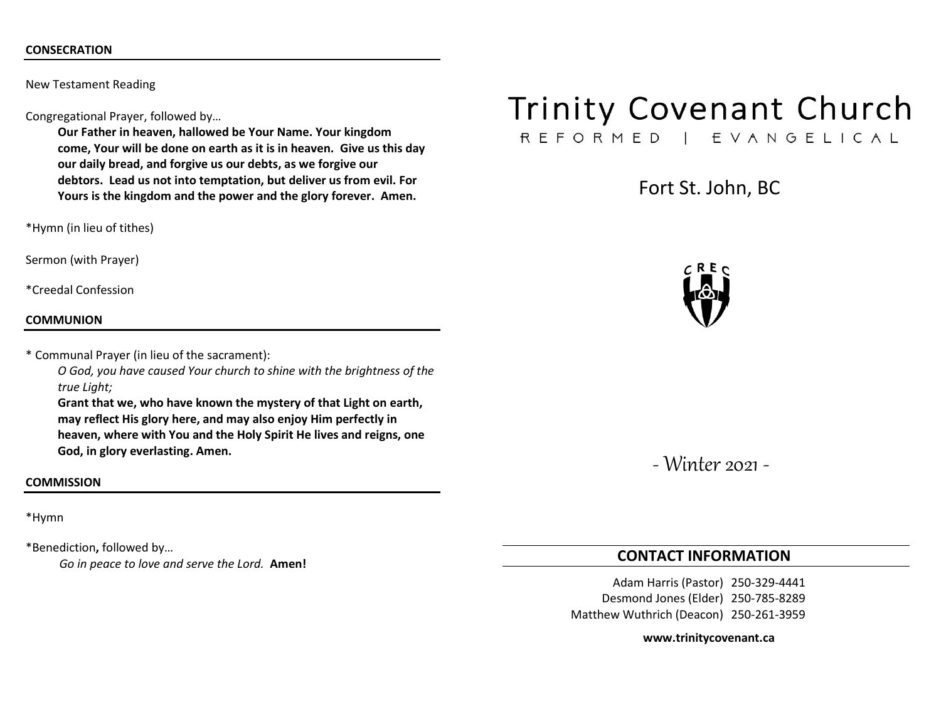## **CONSECRATION**

New Testament Reading

Congregational Prayer, followed by…

**Our Father in heaven, hallowed be Your Name. Your kingdom come, Your will be done on earth as it is in heaven. Give us this day our daily bread, and forgive us our debts, as we forgive our debtors. Lead us not into temptation, but deliver us from evil. For Yours is the kingdom and the power and the glory forever. Amen.**

\*Hymn (in lieu of tithes)

Sermon (with Prayer)

\*Creedal Confession

#### **COMMUNION**

\* Communal Prayer (in lieu of the sacrament):

*O God, you have caused Your church to shine with the brightness of the true Light;*

**Grant that we, who have known the mystery of that Light on earth, may reflect His glory here, and may also enjoy Him perfectly in heaven, where with You and the Holy Spirit He lives and reigns, one God, in glory everlasting. Amen.**

#### **COMMISSION**

\*Hymn

\*Benediction**,** followed by… *Go in peace to love and serve the Lord.* **Amen!**

# **Trinity Covenant Church**

REFORMED | EVANGELICAL

Fort St. John, BC



- Winter 2021 -

# **CONTACT INFORMATION**

Adam Harris (Pastor) 250-329-4441 Desmond Jones (Elder) 250-785-8289 Matthew Wuthrich (Deacon) 250-261-3959

#### **www.trinitycovenant.ca**